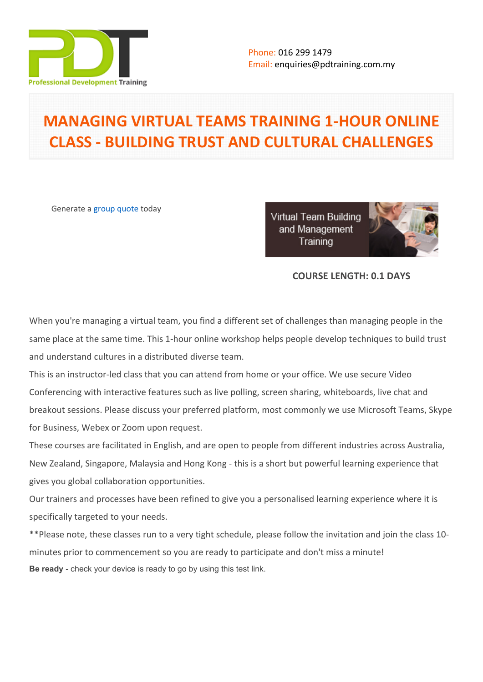

# **MANAGING VIRTUAL TEAMS TRAINING 1-HOUR ONLINE CLASS - BUILDING TRUST AND CULTURAL CHALLENGES**

Generate a [group quote](https://pdtraining.com.my/inhouse-training-quote?cse=PDTM4754_C) today

Virtual Team Building and Management Training



# **COURSE LENGTH: 0.1 DAYS**

When you're managing a virtual team, you find a different set of challenges than managing people in the same place at the same time. This 1-hour online workshop helps people develop techniques to build trust and understand cultures in a distributed diverse team.

This is an instructor-led class that you can attend from home or your office. We use secure Video Conferencing with interactive features such as live polling, screen sharing, whiteboards, live chat and breakout sessions. Please discuss your preferred platform, most commonly we use Microsoft Teams, Skype for Business, Webex or Zoom upon request.

These courses are facilitated in English, and are open to people from different industries across Australia, New Zealand, Singapore, Malaysia and Hong Kong - this is a short but powerful learning experience that gives you global collaboration opportunities.

Our trainers and processes have been refined to give you a personalised learning experience where it is specifically targeted to your needs.

\*\*Please note, these classes run to a very tight schedule, please follow the invitation and join the class 10 minutes prior to commencement so you are ready to participate and don't miss a minute! **Be ready** - check your device is ready to go by using this [test link](https://zoom.us/test).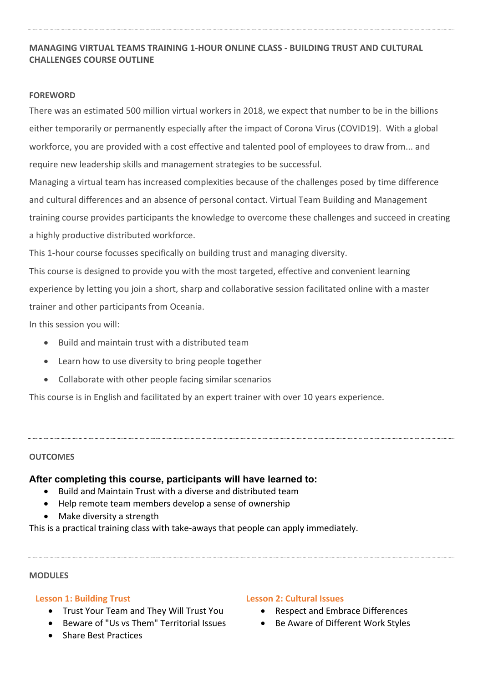# **MANAGING VIRTUAL TEAMS TRAINING 1-HOUR ONLINE CLASS - BUILDING TRUST AND CULTURAL CHALLENGES COURSE OUTLINE**

## **FOREWORD**

There was an estimated 500 million virtual workers in 2018, we expect that number to be in the billions either temporarily or permanently especially after the impact of Corona Virus (COVID19). With a global workforce, you are provided with a cost effective and talented pool of employees to draw from... and require new leadership skills and management strategies to be successful.

Managing a virtual team has increased complexities because of the challenges posed by time difference and cultural differences and an absence of personal contact. Virtual Team Building and Management training course provides participants the knowledge to overcome these challenges and succeed in creating a highly productive distributed workforce.

This 1-hour course focusses specifically on building trust and managing diversity.

This course is designed to provide you with the most targeted, effective and convenient learning experience by letting you join a short, sharp and collaborative session facilitated online with a master trainer and other participants from Oceania.

In this session you will:

- Build and maintain trust with a distributed team
- Learn how to use diversity to bring people together
- Collaborate with other people facing similar scenarios

This course is in English and facilitated by an expert trainer with over 10 years experience.

## **OUTCOMES**

## **After completing this course, participants will have learned to:**

- Build and Maintain Trust with a diverse and distributed team
- Help remote team members develop a sense of ownership
- Make diversity a strength

This is a practical training class with take-aways that people can apply immediately.

#### **MODULES**

## **Lesson 1: Building Trust**

- Trust Your Team and They Will Trust You
- Beware of "Us vs Them" Territorial Issues
- Share Best Practices

### **Lesson 2: Cultural Issues**

- Respect and Embrace Differences
- Be Aware of Different Work Styles